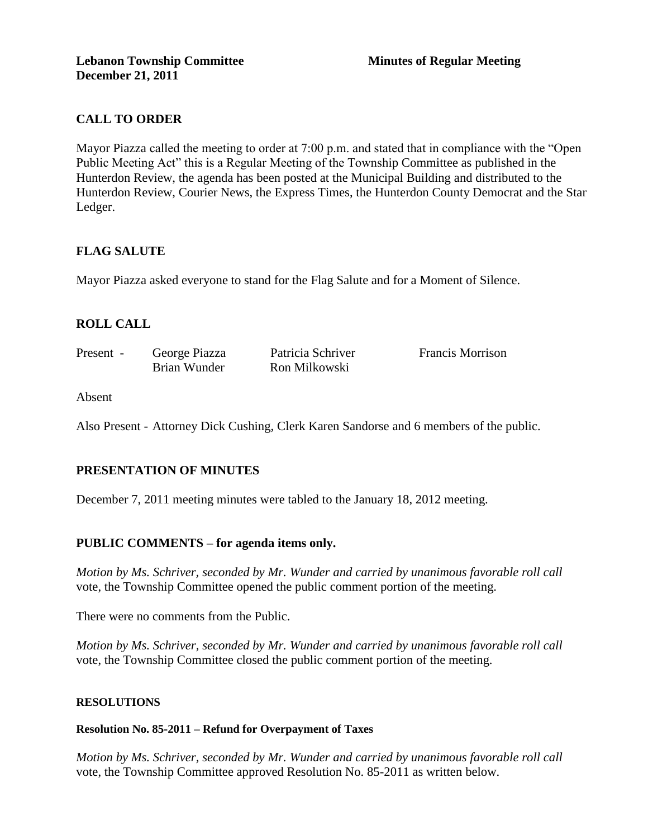# **CALL TO ORDER**

Mayor Piazza called the meeting to order at 7:00 p.m. and stated that in compliance with the "Open Public Meeting Act" this is a Regular Meeting of the Township Committee as published in the Hunterdon Review, the agenda has been posted at the Municipal Building and distributed to the Hunterdon Review, Courier News, the Express Times, the Hunterdon County Democrat and the Star Ledger.

# **FLAG SALUTE**

Mayor Piazza asked everyone to stand for the Flag Salute and for a Moment of Silence.

# **ROLL CALL**

| Present - | George Piazza | Patricia Schriver | <b>Francis Morrison</b> |
|-----------|---------------|-------------------|-------------------------|
|           | Brian Wunder  | Ron Milkowski     |                         |

Absent

Also Present - Attorney Dick Cushing, Clerk Karen Sandorse and 6 members of the public.

### **PRESENTATION OF MINUTES**

December 7, 2011 meeting minutes were tabled to the January 18, 2012 meeting.

### **PUBLIC COMMENTS – for agenda items only.**

*Motion by Ms. Schriver, seconded by Mr. Wunder and carried by unanimous favorable roll call*  vote, the Township Committee opened the public comment portion of the meeting.

There were no comments from the Public.

*Motion by Ms. Schriver, seconded by Mr. Wunder and carried by unanimous favorable roll call*  vote, the Township Committee closed the public comment portion of the meeting.

### **RESOLUTIONS**

#### **Resolution No. 85-2011 – Refund for Overpayment of Taxes**

*Motion by Ms. Schriver, seconded by Mr. Wunder and carried by unanimous favorable roll call*  vote, the Township Committee approved Resolution No. 85-2011 as written below.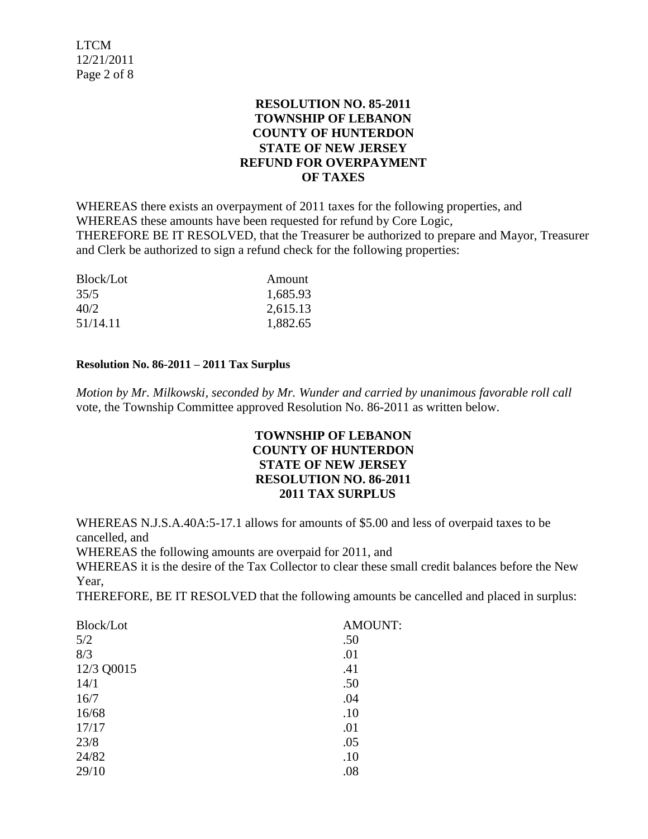LTCM 12/21/2011 Page 2 of 8

# **RESOLUTION NO. 85-2011 TOWNSHIP OF LEBANON COUNTY OF HUNTERDON STATE OF NEW JERSEY REFUND FOR OVERPAYMENT OF TAXES**

WHEREAS there exists an overpayment of 2011 taxes for the following properties, and WHEREAS these amounts have been requested for refund by Core Logic, THEREFORE BE IT RESOLVED, that the Treasurer be authorized to prepare and Mayor, Treasurer and Clerk be authorized to sign a refund check for the following properties:

| Block/Lot | Amount   |
|-----------|----------|
| 35/5      | 1,685.93 |
| 40/2      | 2,615.13 |
| 51/14.11  | 1,882.65 |

# **Resolution No. 86-2011 – 2011 Tax Surplus**

*Motion by Mr. Milkowski, seconded by Mr. Wunder and carried by unanimous favorable roll call*  vote, the Township Committee approved Resolution No. 86-2011 as written below.

# **TOWNSHIP OF LEBANON COUNTY OF HUNTERDON STATE OF NEW JERSEY RESOLUTION NO. 86-2011 2011 TAX SURPLUS**

WHEREAS N.J.S.A.40A:5-17.1 allows for amounts of \$5.00 and less of overpaid taxes to be cancelled, and

WHEREAS the following amounts are overpaid for 2011, and

WHEREAS it is the desire of the Tax Collector to clear these small credit balances before the New Year,

THEREFORE, BE IT RESOLVED that the following amounts be cancelled and placed in surplus:

| <b>Block/Lot</b> | <b>AMOUNT:</b> |
|------------------|----------------|
| 5/2              | .50            |
| 8/3              | .01            |
| 12/3 Q0015       | .41            |
| 14/1             | .50            |
| 16/7             | .04            |
| 16/68            | .10            |
| 17/17            | .01            |
| 23/8             | .05            |
| 24/82            | .10            |
| 29/10            | .08            |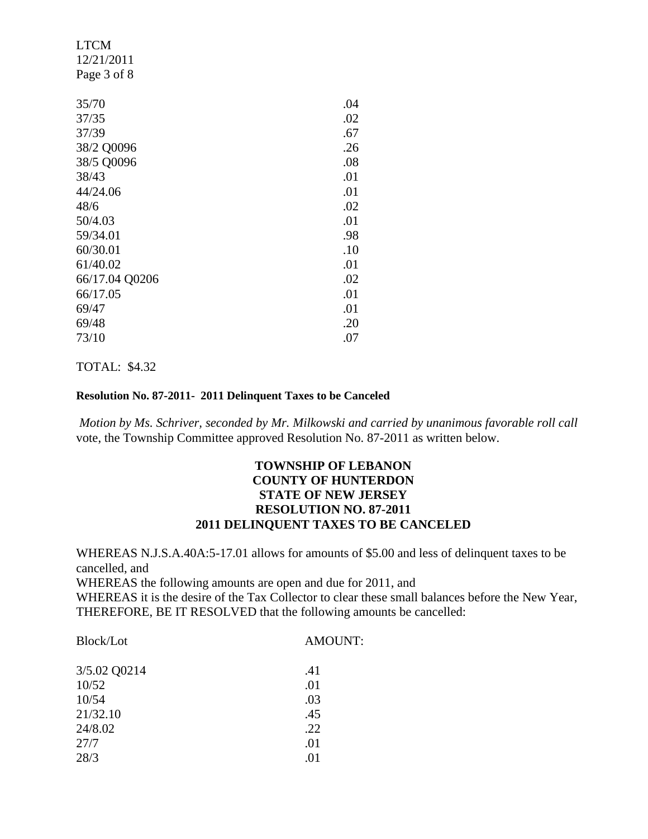| <b>LTCM</b>    |     |
|----------------|-----|
| 12/21/2011     |     |
| Page 3 of 8    |     |
|                |     |
| 35/70          | .04 |
| 37/35          | .02 |
| 37/39          | .67 |
| 38/2 Q0096     | .26 |
| 38/5 Q0096     | .08 |
| 38/43          | .01 |
| 44/24.06       | .01 |
| 48/6           | .02 |
| 50/4.03        | .01 |
| 59/34.01       | .98 |
| 60/30.01       | .10 |
| 61/40.02       | .01 |
| 66/17.04 Q0206 | .02 |
| 66/17.05       | .01 |
| 69/47          | .01 |
| 69/48          | .20 |
| 73/10          | .07 |
|                |     |

TOTAL: \$4.32

### **Resolution No. 87-2011- 2011 Delinquent Taxes to be Canceled**

*Motion by Ms. Schriver, seconded by Mr. Milkowski and carried by unanimous favorable roll call*  vote, the Township Committee approved Resolution No. 87-2011 as written below.

# **TOWNSHIP OF LEBANON COUNTY OF HUNTERDON STATE OF NEW JERSEY RESOLUTION NO. 87-2011 2011 DELINQUENT TAXES TO BE CANCELED**

WHEREAS N.J.S.A.40A:5-17.01 allows for amounts of \$5.00 and less of delinquent taxes to be cancelled, and WHEREAS the following amounts are open and due for 2011, and WHEREAS it is the desire of the Tax Collector to clear these small balances before the New Year, THEREFORE, BE IT RESOLVED that the following amounts be cancelled:

| 3/5.02 Q0214 | .41 |
|--------------|-----|
| 10/52        | .01 |
| 10/54        | .03 |
| 21/32.10     | .45 |
| 24/8.02      | .22 |
| 27/7         | .01 |
| 28/3         | .01 |

Block/Lot AMOUNT: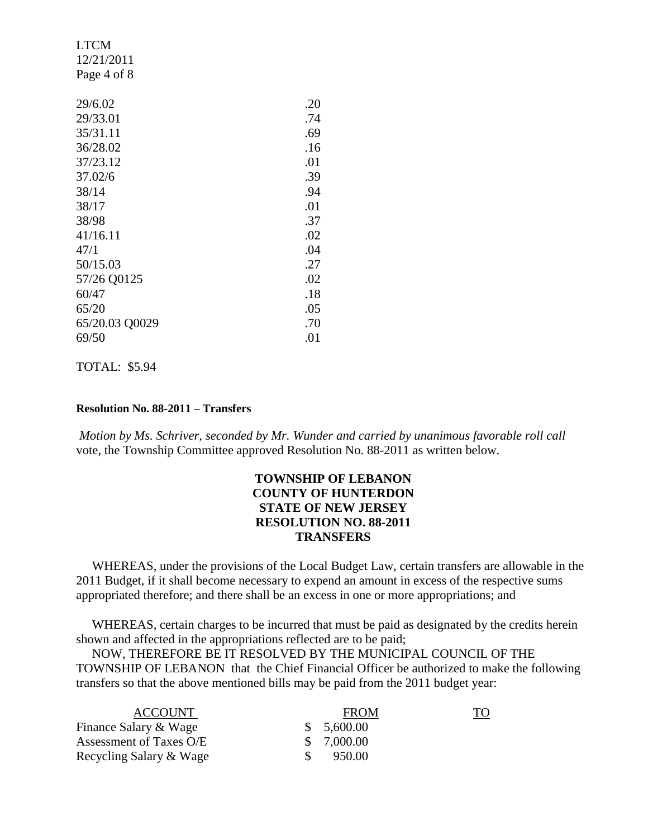| <b>LTCM</b>    |     |
|----------------|-----|
| 12/21/2011     |     |
| Page 4 of 8    |     |
| 29/6.02        | .20 |
| 29/33.01       | .74 |
| 35/31.11       | .69 |
| 36/28.02       | .16 |
| 37/23.12       | .01 |
| 37.02/6        | .39 |
| 38/14          | .94 |
| 38/17          | .01 |
| 38/98          | .37 |
| 41/16.11       | .02 |
| 47/1           | .04 |
| 50/15.03       | .27 |
| 57/26 Q0125    | .02 |
| 60/47          | .18 |
| 65/20          | .05 |
| 65/20.03 Q0029 | .70 |
| 69/50          | .01 |
|                |     |

TOTAL: \$5.94

#### **Resolution No. 88-2011 – Transfers**

*Motion by Ms. Schriver, seconded by Mr. Wunder and carried by unanimous favorable roll call*  vote, the Township Committee approved Resolution No. 88-2011 as written below.

### **TOWNSHIP OF LEBANON COUNTY OF HUNTERDON STATE OF NEW JERSEY RESOLUTION NO. 88-2011 TRANSFERS**

 WHEREAS, under the provisions of the Local Budget Law, certain transfers are allowable in the 2011 Budget, if it shall become necessary to expend an amount in excess of the respective sums appropriated therefore; and there shall be an excess in one or more appropriations; and

 WHEREAS, certain charges to be incurred that must be paid as designated by the credits herein shown and affected in the appropriations reflected are to be paid;

 NOW, THEREFORE BE IT RESOLVED BY THE MUNICIPAL COUNCIL OF THE TOWNSHIP OF LEBANON that the Chief Financial Officer be authorized to make the following transfers so that the above mentioned bills may be paid from the 2011 budget year:

| <b>ACCOUNT</b>          | <b>FROM</b> | TO |
|-------------------------|-------------|----|
| Finance Salary & Wage   | \$5,600.00  |    |
| Assessment of Taxes O/E | \$7,000.00  |    |
| Recycling Salary & Wage | 950.00      |    |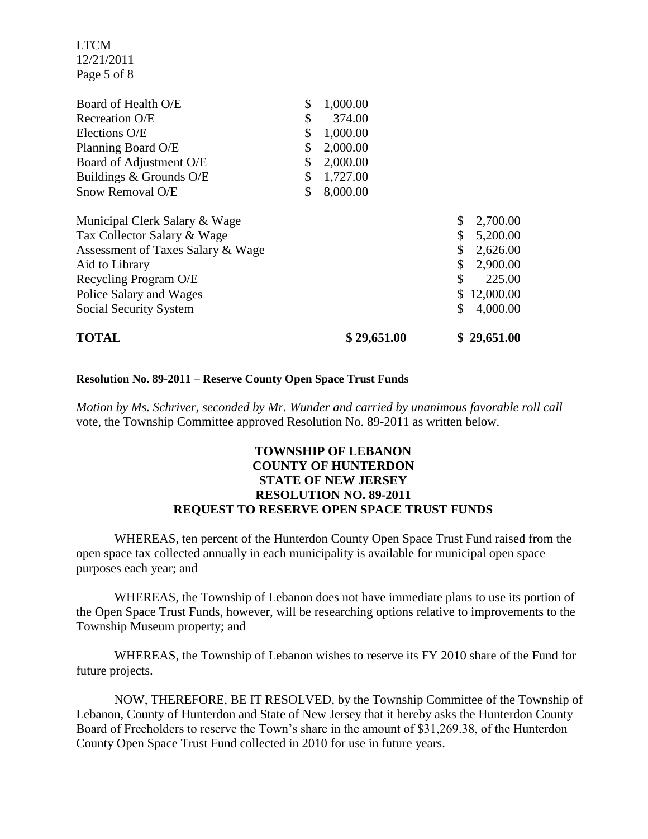LTCM 12/21/2011 Page 5 of 8

| Board of Health O/E               | \$<br>1,000.00 |                 |
|-----------------------------------|----------------|-----------------|
| Recreation O/E                    | \$<br>374.00   |                 |
| Elections O/E                     | \$<br>1,000.00 |                 |
| Planning Board O/E                | \$<br>2,000.00 |                 |
| Board of Adjustment O/E           | \$<br>2,000.00 |                 |
| Buildings & Grounds O/E           | \$<br>1,727.00 |                 |
| Snow Removal O/E                  | \$<br>8,000.00 |                 |
| Municipal Clerk Salary & Wage     |                | \$<br>2,700.00  |
| Tax Collector Salary & Wage       |                | \$<br>5,200.00  |
| Assessment of Taxes Salary & Wage |                | \$<br>2,626.00  |
| Aid to Library                    |                | \$<br>2,900.00  |
| Recycling Program O/E             |                | \$<br>225.00    |
| Police Salary and Wages           |                | \$<br>12,000.00 |
| Social Security System            |                | \$<br>4,000.00  |
| <b>TOTAL</b>                      | \$29,651.00    | \$<br>29,651.00 |

#### **Resolution No. 89-2011 – Reserve County Open Space Trust Funds**

*Motion by Ms. Schriver, seconded by Mr. Wunder and carried by unanimous favorable roll call*  vote, the Township Committee approved Resolution No. 89-2011 as written below.

### **TOWNSHIP OF LEBANON COUNTY OF HUNTERDON STATE OF NEW JERSEY RESOLUTION NO. 89-2011 REQUEST TO RESERVE OPEN SPACE TRUST FUNDS**

WHEREAS, ten percent of the Hunterdon County Open Space Trust Fund raised from the open space tax collected annually in each municipality is available for municipal open space purposes each year; and

WHEREAS, the Township of Lebanon does not have immediate plans to use its portion of the Open Space Trust Funds, however, will be researching options relative to improvements to the Township Museum property; and

WHEREAS, the Township of Lebanon wishes to reserve its FY 2010 share of the Fund for future projects.

NOW, THEREFORE, BE IT RESOLVED, by the Township Committee of the Township of Lebanon, County of Hunterdon and State of New Jersey that it hereby asks the Hunterdon County Board of Freeholders to reserve the Town's share in the amount of \$31,269.38, of the Hunterdon County Open Space Trust Fund collected in 2010 for use in future years.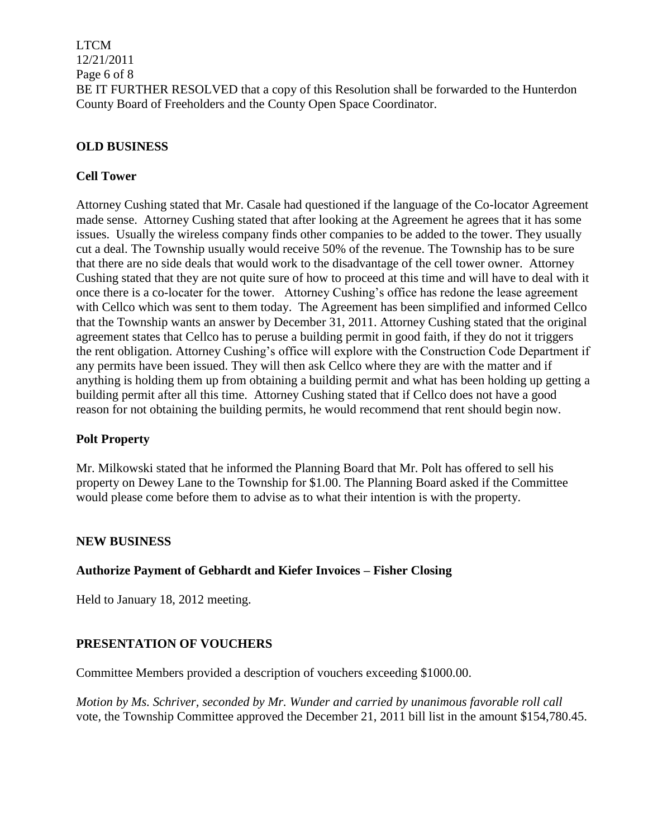LTCM 12/21/2011 Page 6 of 8 BE IT FURTHER RESOLVED that a copy of this Resolution shall be forwarded to the Hunterdon County Board of Freeholders and the County Open Space Coordinator.

### **OLD BUSINESS**

### **Cell Tower**

Attorney Cushing stated that Mr. Casale had questioned if the language of the Co-locator Agreement made sense. Attorney Cushing stated that after looking at the Agreement he agrees that it has some issues. Usually the wireless company finds other companies to be added to the tower. They usually cut a deal. The Township usually would receive 50% of the revenue. The Township has to be sure that there are no side deals that would work to the disadvantage of the cell tower owner. Attorney Cushing stated that they are not quite sure of how to proceed at this time and will have to deal with it once there is a co-locater for the tower. Attorney Cushing's office has redone the lease agreement with Cellco which was sent to them today. The Agreement has been simplified and informed Cellco that the Township wants an answer by December 31, 2011. Attorney Cushing stated that the original agreement states that Cellco has to peruse a building permit in good faith, if they do not it triggers the rent obligation. Attorney Cushing's office will explore with the Construction Code Department if any permits have been issued. They will then ask Cellco where they are with the matter and if anything is holding them up from obtaining a building permit and what has been holding up getting a building permit after all this time. Attorney Cushing stated that if Cellco does not have a good reason for not obtaining the building permits, he would recommend that rent should begin now.

### **Polt Property**

Mr. Milkowski stated that he informed the Planning Board that Mr. Polt has offered to sell his property on Dewey Lane to the Township for \$1.00. The Planning Board asked if the Committee would please come before them to advise as to what their intention is with the property.

#### **NEW BUSINESS**

### **Authorize Payment of Gebhardt and Kiefer Invoices – Fisher Closing**

Held to January 18, 2012 meeting.

### **PRESENTATION OF VOUCHERS**

Committee Members provided a description of vouchers exceeding \$1000.00.

*Motion by Ms. Schriver, seconded by Mr. Wunder and carried by unanimous favorable roll call*  vote, the Township Committee approved the December 21, 2011 bill list in the amount \$154,780.45.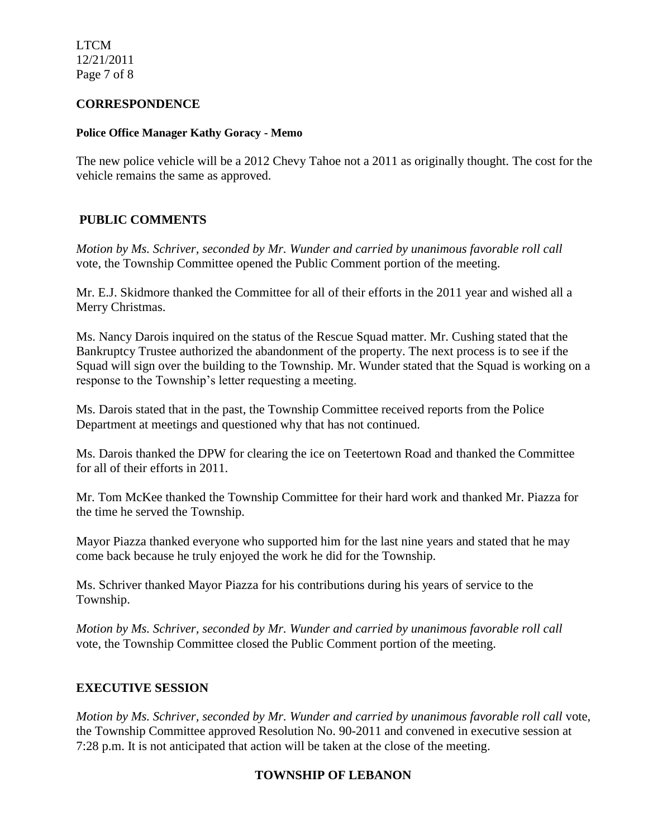LTCM 12/21/2011 Page 7 of 8

# **CORRESPONDENCE**

#### **Police Office Manager Kathy Goracy - Memo**

The new police vehicle will be a 2012 Chevy Tahoe not a 2011 as originally thought. The cost for the vehicle remains the same as approved.

# **PUBLIC COMMENTS**

*Motion by Ms. Schriver, seconded by Mr. Wunder and carried by unanimous favorable roll call*  vote, the Township Committee opened the Public Comment portion of the meeting.

Mr. E.J. Skidmore thanked the Committee for all of their efforts in the 2011 year and wished all a Merry Christmas.

Ms. Nancy Darois inquired on the status of the Rescue Squad matter. Mr. Cushing stated that the Bankruptcy Trustee authorized the abandonment of the property. The next process is to see if the Squad will sign over the building to the Township. Mr. Wunder stated that the Squad is working on a response to the Township's letter requesting a meeting.

Ms. Darois stated that in the past, the Township Committee received reports from the Police Department at meetings and questioned why that has not continued.

Ms. Darois thanked the DPW for clearing the ice on Teetertown Road and thanked the Committee for all of their efforts in 2011.

Mr. Tom McKee thanked the Township Committee for their hard work and thanked Mr. Piazza for the time he served the Township.

Mayor Piazza thanked everyone who supported him for the last nine years and stated that he may come back because he truly enjoyed the work he did for the Township.

Ms. Schriver thanked Mayor Piazza for his contributions during his years of service to the Township.

*Motion by Ms. Schriver, seconded by Mr. Wunder and carried by unanimous favorable roll call*  vote, the Township Committee closed the Public Comment portion of the meeting.

# **EXECUTIVE SESSION**

*Motion by Ms. Schriver, seconded by Mr. Wunder and carried by unanimous favorable roll call* vote, the Township Committee approved Resolution No. 90-2011 and convened in executive session at 7:28 p.m. It is not anticipated that action will be taken at the close of the meeting.

# **TOWNSHIP OF LEBANON**